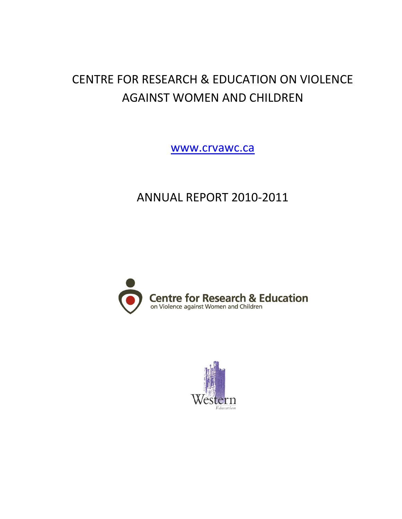# CENTRE FOR RESEARCH & EDUCATION ON VIOLENCE AGAINST WOMEN AND CHILDREN

[www.crvawc.ca](http://www.crvawc.ca/)

# ANNUAL REPORT 2010-2011



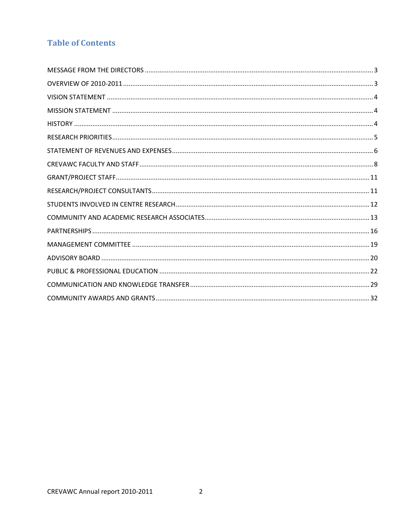## **Table of Contents**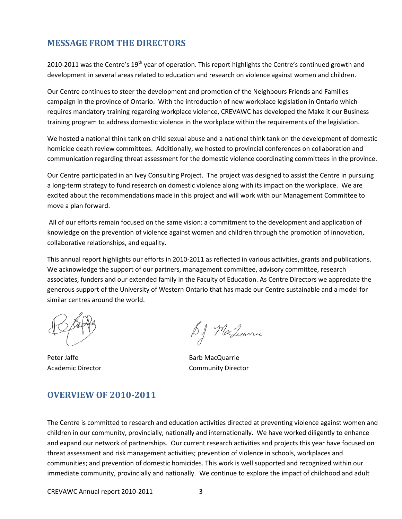## <span id="page-2-0"></span>**MESSAGE FROM THE DIRECTORS**

2010-2011 was the Centre's 19<sup>th</sup> year of operation. This report highlights the Centre's continued growth and development in several areas related to education and research on violence against women and children.

Our Centre continues to steer the development and promotion of the Neighbours Friends and Families campaign in the province of Ontario. With the introduction of new workplace legislation in Ontario which requires mandatory training regarding workplace violence, CREVAWC has developed the Make it our Business training program to address domestic violence in the workplace within the requirements of the legislation.

We hosted a national think tank on child sexual abuse and a national think tank on the development of domestic homicide death review committees. Additionally, we hosted to provincial conferences on collaboration and communication regarding threat assessment for the domestic violence coordinating committees in the province.

Our Centre participated in an Ivey Consulting Project. The project was designed to assist the Centre in pursuing a long-term strategy to fund research on domestic violence along with its impact on the workplace. We are excited about the recommendations made in this project and will work with our Management Committee to move a plan forward.

All of our efforts remain focused on the same vision: a commitment to the development and application of knowledge on the prevention of violence against women and children through the promotion of innovation, collaborative relationships, and equality.

This annual report highlights our efforts in 2010-2011 as reflected in various activities, grants and publications. We acknowledge the support of our partners, management committee, advisory committee, research associates, funders and our extended family in the Faculty of Education. As Centre Directors we appreciate the generous support of the University of Western Ontario that has made our Centre sustainable and a model for similar centres around the world.

Peter Jaffe **Barb MacQuarrie** Barb MacQuarrie

B.J. MacLuarrie

Academic Director **Community Director** 

## <span id="page-2-1"></span>**OVERVIEW OF 2010-2011**

The Centre is committed to research and education activities directed at preventing violence against women and children in our community, provincially, nationally and internationally. We have worked diligently to enhance and expand our network of partnerships. Our current research activities and projects this year have focused on threat assessment and risk management activities; prevention of violence in schools, workplaces and communities; and prevention of domestic homicides. This work is well supported and recognized within our immediate community, provincially and nationally. We continue to explore the impact of childhood and adult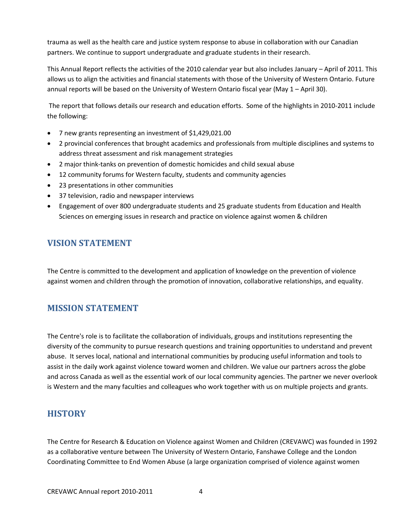trauma as well as the health care and justice system response to abuse in collaboration with our Canadian partners. We continue to support undergraduate and graduate students in their research.

This Annual Report reflects the activities of the 2010 calendar year but also includes January – April of 2011. This allows us to align the activities and financial statements with those of the University of Western Ontario. Future annual reports will be based on the University of Western Ontario fiscal year (May 1 – April 30).

The report that follows details our research and education efforts. Some of the highlights in 2010-2011 include the following:

- 7 new grants representing an investment of \$1,429,021.00
- 2 provincial conferences that brought academics and professionals from multiple disciplines and systems to address threat assessment and risk management strategies
- 2 major think-tanks on prevention of domestic homicides and child sexual abuse
- 12 community forums for Western faculty, students and community agencies
- 23 presentations in other communities
- 37 television, radio and newspaper interviews
- Engagement of over 800 undergraduate students and 25 graduate students from Education and Health Sciences on emerging issues in research and practice on violence against women & children

## <span id="page-3-0"></span>**VISION STATEMENT**

The Centre is committed to the development and application of knowledge on the prevention of violence against women and children through the promotion of innovation, collaborative relationships, and equality.

## <span id="page-3-1"></span>**MISSION STATEMENT**

The Centre's role is to facilitate the collaboration of individuals, groups and institutions representing the diversity of the community to pursue research questions and training opportunities to understand and prevent abuse. It serves local, national and international communities by producing useful information and tools to assist in the daily work against violence toward women and children. We value our partners across the globe and across Canada as well as the essential work of our local community agencies. The partner we never overlook is Western and the many faculties and colleagues who work together with us on multiple projects and grants.

## <span id="page-3-2"></span>**HISTORY**

The Centre for Research & Education on Violence against Women and Children (CREVAWC) was founded in 1992 as a collaborative venture between The University of Western Ontario, Fanshawe College and the London Coordinating Committee to End Women Abuse (a large organization comprised of violence against women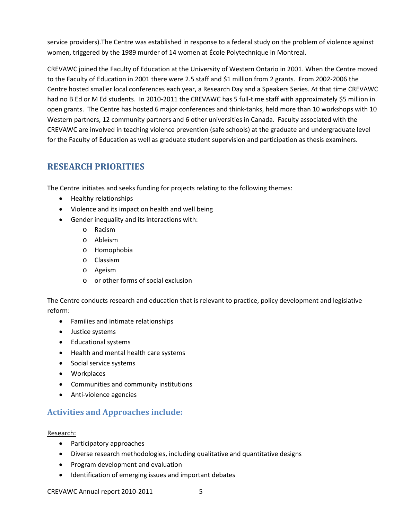service providers).The Centre was established in response to a federal study on the problem of violence against women, triggered by the 1989 murder of 14 women at École Polytechnique in Montreal.

CREVAWC joined the Faculty of Education at the University of Western Ontario in 2001. When the Centre moved to the Faculty of Education in 2001 there were 2.5 staff and \$1 million from 2 grants. From 2002-2006 the Centre hosted smaller local conferences each year, a Research Day and a Speakers Series. At that time CREVAWC had no B Ed or M Ed students. In 2010-2011 the CREVAWC has 5 full-time staff with approximately \$5 million in open grants. The Centre has hosted 6 major conferences and think-tanks, held more than 10 workshops with 10 Western partners, 12 community partners and 6 other universities in Canada. Faculty associated with the CREVAWC are involved in teaching violence prevention (safe schools) at the graduate and undergraduate level for the Faculty of Education as well as graduate student supervision and participation as thesis examiners.

## <span id="page-4-0"></span>**RESEARCH PRIORITIES**

The Centre initiates and seeks funding for projects relating to the following themes:

- Healthy relationships
- Violence and its impact on health and well being
- Gender inequality and its interactions with:
	- o Racism
	- o Ableism
	- o Homophobia
	- o Classism
	- o Ageism
	- o or other forms of social exclusion

The Centre conducts research and education that is relevant to practice, policy development and legislative reform:

- Families and intimate relationships
- Justice systems
- Educational systems
- Health and mental health care systems
- Social service systems
- Workplaces
- Communities and community institutions
- Anti-violence agencies

## **Activities and Approaches include:**

#### Research:

- Participatory approaches
- Diverse research methodologies, including qualitative and quantitative designs
- Program development and evaluation
- Identification of emerging issues and important debates

CREVAWC Annual report 2010-2011 5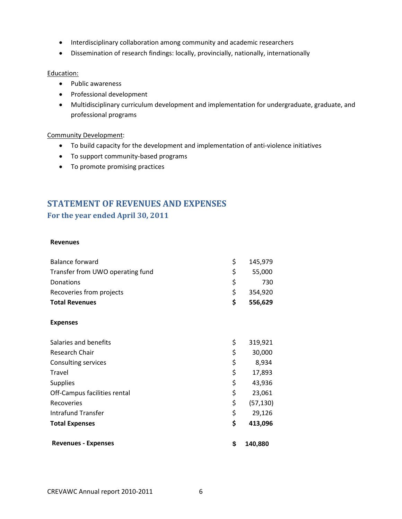- Interdisciplinary collaboration among community and academic researchers
- Dissemination of research findings: locally, provincially, nationally, internationally

#### Education:

- Public awareness
- Professional development
- Multidisciplinary curriculum development and implementation for undergraduate, graduate, and professional programs

#### Community Development :

- To build capacity for the development and implementation of anti-violence initiatives
- To support community-based programs
- To promote promising practices

## <span id="page-5-0"></span>**STATEMENT OF REVENUES AND EXPENSES For the year ended April 30, 2011**

#### **Revenues**

| <b>Revenues - Expenses</b>       | \$<br>140,880   |
|----------------------------------|-----------------|
| <b>Total Expenses</b>            | \$<br>413,096   |
| <b>Intrafund Transfer</b>        | \$<br>29,126    |
| Recoveries                       | \$<br>(57, 130) |
| Off-Campus facilities rental     | \$<br>23,061    |
| <b>Supplies</b>                  | \$<br>43,936    |
| Travel                           | \$<br>17,893    |
| Consulting services              | \$<br>8,934     |
| Research Chair                   | \$<br>30,000    |
| Salaries and benefits            | \$<br>319,921   |
| <b>Expenses</b>                  |                 |
| <b>Total Revenues</b>            | \$<br>556,629   |
| Recoveries from projects         | \$<br>354,920   |
| Donations                        | \$<br>730       |
| Transfer from UWO operating fund | \$<br>55,000    |
| <b>Balance forward</b>           | \$<br>145,979   |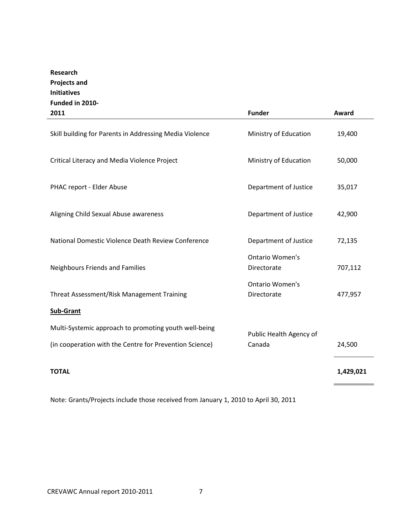## **Research Projects and Initiatives Funded in 2010-**

| 2011                                                    | <b>Funder</b>                         | Award     |
|---------------------------------------------------------|---------------------------------------|-----------|
| Skill building for Parents in Addressing Media Violence | Ministry of Education                 | 19,400    |
| Critical Literacy and Media Violence Project            | Ministry of Education                 | 50,000    |
| PHAC report - Elder Abuse                               | Department of Justice                 | 35,017    |
| Aligning Child Sexual Abuse awareness                   | Department of Justice                 | 42,900    |
| National Domestic Violence Death Review Conference      | Department of Justice                 | 72,135    |
| <b>Neighbours Friends and Families</b>                  | <b>Ontario Women's</b><br>Directorate | 707,112   |
| Threat Assessment/Risk Management Training              | <b>Ontario Women's</b><br>Directorate | 477,957   |
| <b>Sub-Grant</b>                                        |                                       |           |
| Multi-Systemic approach to promoting youth well-being   |                                       |           |
| (in cooperation with the Centre for Prevention Science) | Public Health Agency of<br>Canada     | 24,500    |
| <b>TOTAL</b>                                            |                                       | 1,429,021 |

Note: Grants/Projects include those received from January 1, 2010 to April 30, 2011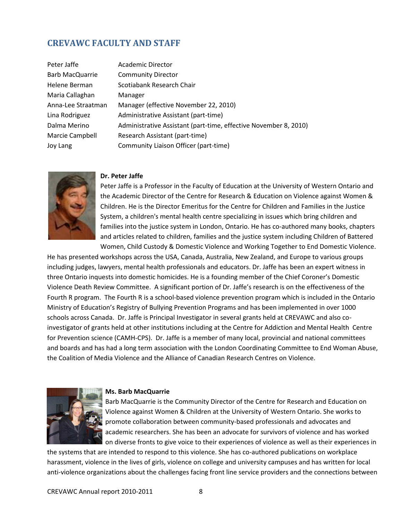## <span id="page-7-0"></span>**CREVAWC FACULTY AND STAFF**

| Peter Jaffe        | <b>Academic Director</b>                                         |
|--------------------|------------------------------------------------------------------|
| Barb MacQuarrie    | <b>Community Director</b>                                        |
| Helene Berman      | Scotiabank Research Chair                                        |
| Maria Callaghan    | Manager                                                          |
| Anna-Lee Straatman | Manager (effective November 22, 2010)                            |
| Lina Rodriguez     | Administrative Assistant (part-time)                             |
| Dalma Merino       | Administrative Assistant (part-time, effective November 8, 2010) |
| Marcie Campbell    | Research Assistant (part-time)                                   |
| Joy Lang           | Community Liaison Officer (part-time)                            |
|                    |                                                                  |



#### **Dr. Peter Jaffe**

Peter Jaffe is a Professor in the Faculty of Education at the University of Western Ontario and the Academic Director of the Centre for Research & Education on Violence against Women & Children. He is the Director Emeritus for the Centre for Children and Families in the Justice System, a children's mental health centre specializing in issues which bring children and families into the justice system in London, Ontario. He has co-authored many books, chapters and articles related to children, families and the justice system including Children of Battered Women, Child Custody & Domestic Violence and Working Together to End Domestic Violence.

He has presented workshops across the USA, Canada, Australia, New Zealand, and Europe to various groups including judges, lawyers, mental health professionals and educators. Dr. Jaffe has been an expert witness in three Ontario inquests into domestic homicides. He is a founding member of the Chief Coroner's Domestic Violence Death Review Committee. A significant portion of Dr. Jaffe's research is on the effectiveness of the Fourth R program. The Fourth R is a school-based violence prevention program which is included in the Ontario Ministry of Education's Registry of Bullying Prevention Programs and has been implemented in over 1000 schools across Canada. Dr. Jaffe is Principal Investigator in several grants held at CREVAWC and also coinvestigator of grants held at other institutions including at the Centre for Addiction and Mental Health Centre for Prevention science (CAMH-CPS). Dr. Jaffe is a member of many local, provincial and national committees and boards and has had a long term association with the London Coordinating Committee to End Woman Abuse, the Coalition of Media Violence and the Alliance of Canadian Research Centres on Violence.



#### **Ms. Barb MacQuarrie**

Barb MacQuarrie is the Community Director of the Centre for Research and Education on Violence against Women & Children at the University of Western Ontario. She works to promote collaboration between community-based professionals and advocates and academic researchers. She has been an advocate for survivors of violence and has worked on diverse fronts to give voice to their experiences of violence as well as their experiences in

the systems that are intended to respond to this violence. She has co-authored publications on workplace harassment, violence in the lives of girls, violence on college and university campuses and has written for local anti-violence organizations about the challenges facing front line service providers and the connections between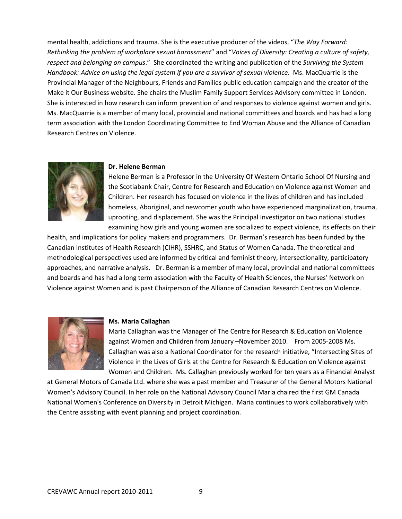mental health, addictions and trauma. She is the executive producer of the videos, "*The Way Forward: Rethinking the problem of workplace sexual harassment*" and "*Voices of Diversity: Creating a culture of safety, respect and belonging on campus*." She coordinated the writing and publication of the *Surviving the System Handbook: Advice on using the legal system if you are a survivor of sexual violence*. Ms. MacQuarrie is the Provincial Manager of the Neighbours, Friends and Families public education campaign and the creator of the Make it Our Business website. She chairs the Muslim Family Support Services Advisory committee in London. She is interested in how research can inform prevention of and responses to violence against women and girls. Ms. MacQuarrie is a member of many local, provincial and national committees and boards and has had a long term association with the London Coordinating Committee to End Woman Abuse and the Alliance of Canadian Research Centres on Violence.



#### **Dr. Helene Berman**

Helene Berman is a Professor in the University Of Western Ontario School Of Nursing and the Scotiabank Chair, Centre for Research and Education on Violence against Women and Children. Her research has focused on violence in the lives of children and has included homeless, Aboriginal, and newcomer youth who have experienced marginalization, trauma, uprooting, and displacement. She was the Principal Investigator on two national studies examining how girls and young women are socialized to expect violence, its effects on their

health, and implications for policy makers and programmers. Dr. Berman's research has been funded by the Canadian Institutes of Health Research (CIHR), SSHRC, and Status of Women Canada. The theoretical and methodological perspectives used are informed by critical and feminist theory, intersectionality, participatory approaches, and narrative analysis. Dr. Berman is a member of many local, provincial and national committees and boards and has had a long term association with the Faculty of Health Sciences, the Nurses' Network on Violence against Women and is past Chairperson of the Alliance of Canadian Research Centres on Violence.



#### **Ms. Maria Callaghan**

Maria Callaghan was the Manager of The Centre for Research & Education on Violence against Women and Children from January –November 2010. From 2005-2008 Ms. Callaghan was also a National Coordinator for the research initiative, "Intersecting Sites of Violence in the Lives of Girls at the Centre for Research & Education on Violence against Women and Children. Ms. Callaghan previously worked for ten years as a Financial Analyst

at General Motors of Canada Ltd. where she was a past member and Treasurer of the General Motors National Women's Advisory Council. In her role on the National Advisory Council Maria chaired the first GM Canada National Women's Conference on Diversity in Detroit Michigan. Maria continues to work collaboratively with the Centre assisting with event planning and project coordination.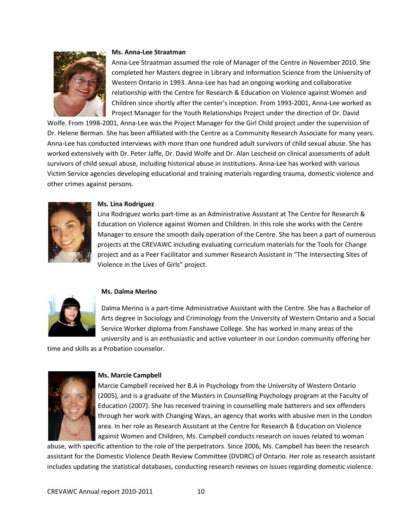

#### **Ms. Anna-Lee Straatman**

Anna-Lee Straatman assumed the role of Manager of the Centre in November 2010. She completed her Masters degree in Library and Information Science from the University of Western Ontario in 1993. Anna-Lee has had an ongoing working and collaborative relationship with the Centre for Research & Education on Violence against Women and Children since shortly after the center's inception. From 1993-2001, Anna-Lee worked as Project Manager for the Youth Relationships Project under the direction of Dr. David

Wolfe. From 1998-2001, Anna-Lee was the Project Manager for the Girl Child project under the supervision of Dr. Helene Berman. She has been affiliated with the Centre as a Community Research Associate for many years. Anna-Lee has conducted interviews with more than one hundred adult survivors of child sexual abuse. She has worked extensively with Dr. Peter Jaffe, Dr. David Wolfe and Dr. Alan Lescheid on clinical assessments of adult survivors of child sexual abuse, including historical abuse in institutions. Anna-Lee has worked with various Victim Service agencies developing educational and training materials regarding trauma, domestic violence and other crimes against persons.



#### **Ms. Lina Rodriguez**

Lina Rodriguez works part-time as an Administrative Assistant at The Centre for Research & Education on Violence against Women and Children. In this role she works with the Centre Manager to ensure the smooth daily operation of the Centre. She has been a part of numerous projects at the CREVAWC including evaluating curriculum materials for the Tools for Change project and as a Peer Facilitator and summer Research Assistant in "The Intersecting Sites of Violence in the Lives of Girls" project.



#### **Ms. Dalma Merino**

Dalma Merino is a part-time Administrative Assistant with the Centre. She has a Bachelor of Arts degree in Sociology and Criminology from the University of Western Ontario and a Social Service Worker diploma from Fanshawe College. She has worked in many areas of the university and is an enthusiastic and active volunteer in our London community offering her

time and skills as a Probation counselor.



#### **Ms. Marcie Campbell**

Marcie Campbell received her B.A in Psychology from the University of Western Ontario (2005), and is a graduate of the Masters in Counselling Psychology program at the Faculty of Education (2007). She has received training in counselling male batterers and sex offenders through her work with Changing Ways, an agency that works with abusive men in the London area. In her role as Research Assistant at the Centre for Research & Education on Violence against Women and Children, Ms. Campbell conducts research on issues related to woman

abuse, with specific attention to the role of the perpetrators. Since 2006, Ms. Campbell has been the research assistant for the Domestic Violence Death Review Committee (DVDRC) of Ontario. Her role as research assistant includes updating the statistical databases, conducting research reviews on issues regarding domestic violence.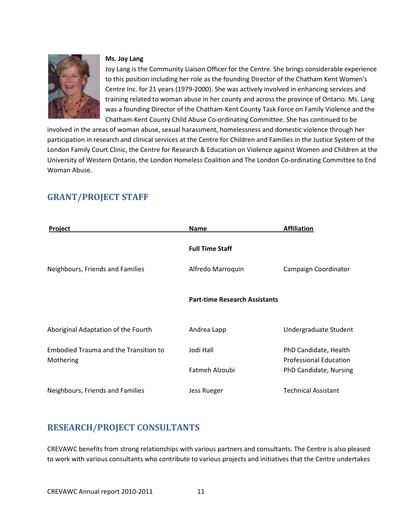

#### **Ms. Joy Lang**

Joy Lang is the Community Liaison Officer for the Centre. She brings considerable experience to this position including her role as the founding Director of the Chatham Kent Women's Centre Inc. for 21 years (1979-2000). She was actively involved in enhancing services and training related to woman abuse in her county and across the province of Ontario. Ms. Lang was a founding Director of the Chatham-Kent County Task Force on Family Violence and the Chatham-Kent County Child Abuse Co-ordinating Committee. She has continued to be

involved in the areas of woman abuse, sexual harassment, homelessness and domestic violence through her participation in research and clinical services at the Centre for Children and Families in the Justice System of the London Family Court Clinic, the Centre for Research & Education on Violence against Women and Children at the University of Western Ontario, the London Homeless Coalition and The London Co-ordinating Committee to End Woman Abuse.

| <b>Project</b>                                     | Name                                 | <b>Affiliation</b>                                     |
|----------------------------------------------------|--------------------------------------|--------------------------------------------------------|
|                                                    | <b>Full Time Staff</b>               |                                                        |
| Neighbours, Friends and Families                   | Alfredo Marroquin                    | Campaign Coordinator                                   |
|                                                    | <b>Part-time Research Assistants</b> |                                                        |
| Aboriginal Adaptation of the Fourth                | Andrea Lapp                          | Undergraduate Student                                  |
| Embodied Trauma and the Transition to<br>Mothering | Jodi Hall                            | PhD Candidate, Health<br><b>Professional Education</b> |
|                                                    | Fatmeh Alzoubi                       | PhD Candidate, Nursing                                 |
| Neighbours, Friends and Families                   | Jess Rueger                          | <b>Technical Assistant</b>                             |

## <span id="page-10-0"></span>**GRANT/PROJECT STAFF**

## <span id="page-10-1"></span>**RESEARCH/PROJECT CONSULTANTS**

CREVAWC benefits from strong relationships with various partners and consultants. The Centre is also pleased to work with various consultants who contribute to various projects and initiatives that the Centre undertakes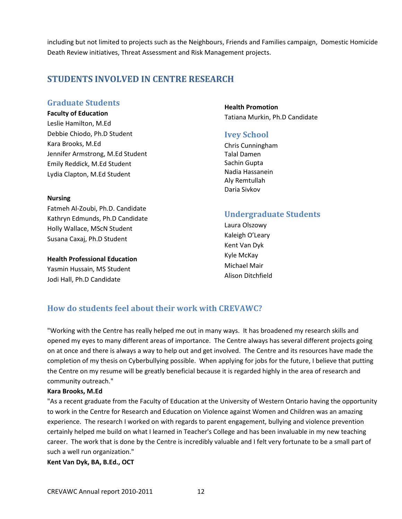including but not limited to projects such as the Neighbours, Friends and Families campaign, Domestic Homicide Death Review initiatives, Threat Assessment and Risk Management projects.

## <span id="page-11-0"></span>**STUDENTS INVOLVED IN CENTRE RESEARCH**

#### **Graduate Students**

**Faculty of Education**

Leslie Hamilton, M.Ed Debbie Chiodo, Ph.D Student Kara Brooks, M.Ed Jennifer Armstrong, M.Ed Student Emily Reddick, M.Ed Student Lydia Clapton, M.Ed Student

#### **Nursing**

Fatmeh Al-Zoubi, Ph.D. Candidate Kathryn Edmunds, Ph.D Candidate Holly Wallace, MScN Student Susana Caxaj, Ph.D Student

**Health Professional Education**  Yasmin Hussain, MS Student Jodi Hall, Ph.D Candidate

#### **Health Promotion** Tatiana Murkin, Ph.D Candidate

#### **Ivey School**

Chris Cunningham Talal Damen Sachin Gupta Nadia Hassanein Aly Remtullah Daria Sivkov

## **Undergraduate Students**

Laura Olszowy Kaleigh O'Leary Kent Van Dyk Kyle McKay Michael Mair Alison Ditchfield

## **How do students feel about their work with CREVAWC?**

"Working with the Centre has really helped me out in many ways. It has broadened my research skills and opened my eyes to many different areas of importance. The Centre always has several different projects going on at once and there is always a way to help out and get involved. The Centre and its resources have made the completion of my thesis on Cyberbullying possible. When applying for jobs for the future, I believe that putting the Centre on my resume will be greatly beneficial because it is regarded highly in the area of research and community outreach."

#### **Kara Brooks, M.Ed**

"As a recent graduate from the Faculty of Education at the University of Western Ontario having the opportunity to work in the Centre for Research and Education on Violence against Women and Children was an amazing experience. The research I worked on with regards to parent engagement, bullying and violence prevention certainly helped me build on what I learned in Teacher's College and has been invaluable in my new teaching career. The work that is done by the Centre is incredibly valuable and I felt very fortunate to be a small part of such a well run organization."

**Kent Van Dyk, BA, B.Ed., OCT**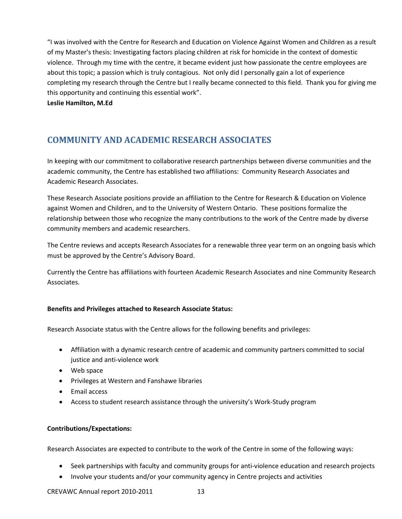"I was involved with the Centre for Research and Education on Violence Against Women and Children as a result of my Master's thesis: Investigating factors placing children at risk for homicide in the context of domestic violence. Through my time with the centre, it became evident just how passionate the centre employees are about this topic; a passion which is truly contagious. Not only did I personally gain a lot of experience completing my research through the Centre but I really became connected to this field. Thank you for giving me this opportunity and continuing this essential work".

**Leslie Hamilton, M.Ed** 

## <span id="page-12-0"></span>**COMMUNITY AND ACADEMIC RESEARCH ASSOCIATES**

In keeping with our commitment to collaborative research partnerships between diverse communities and the academic community, the Centre has established two affiliations: Community Research Associates and Academic Research Associates.

These Research Associate positions provide an affiliation to the Centre for Research & Education on Violence against Women and Children, and to the University of Western Ontario. These positions formalize the relationship between those who recognize the many contributions to the work of the Centre made by diverse community members and academic researchers.

The Centre reviews and accepts Research Associates for a renewable three year term on an ongoing basis which must be approved by the Centre's Advisory Board.

Currently the Centre has affiliations with fourteen Academic Research Associates and nine Community Research Associates.

#### **Benefits and Privileges attached to Research Associate Status:**

Research Associate status with the Centre allows for the following benefits and privileges:

- Affiliation with a dynamic research centre of academic and community partners committed to social justice and anti-violence work
- Web space
- Privileges at Western and Fanshawe libraries
- Email access
- Access to student research assistance through the university's Work-Study program

#### **Contributions/Expectations:**

Research Associates are expected to contribute to the work of the Centre in some of the following ways:

- Seek partnerships with faculty and community groups for anti-violence education and research projects
- Involve your students and/or your community agency in Centre projects and activities

CREVAWC Annual report 2010-2011 13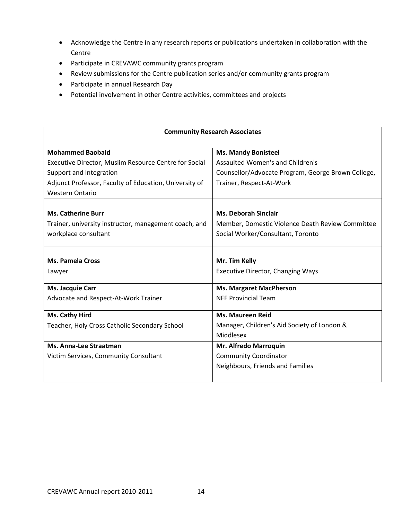- Acknowledge the Centre in any research reports or publications undertaken in collaboration with the Centre
- Participate in CREVAWC community grants program
- Review submissions for the Centre publication series and/or community grants program
- Participate in annual Research Day
- Potential involvement in other Centre activities, committees and projects

| <b>Community Research Associates</b>                   |                                                    |  |
|--------------------------------------------------------|----------------------------------------------------|--|
| <b>Mohammed Baobaid</b>                                | <b>Ms. Mandy Bonisteel</b>                         |  |
| Executive Director, Muslim Resource Centre for Social  | Assaulted Women's and Children's                   |  |
| Support and Integration                                | Counsellor/Advocate Program, George Brown College, |  |
| Adjunct Professor, Faculty of Education, University of | Trainer, Respect-At-Work                           |  |
| <b>Western Ontario</b>                                 |                                                    |  |
|                                                        |                                                    |  |
| <b>Ms. Catherine Burr</b>                              | <b>Ms. Deborah Sinclair</b>                        |  |
| Trainer, university instructor, management coach, and  | Member, Domestic Violence Death Review Committee   |  |
| workplace consultant                                   | Social Worker/Consultant, Toronto                  |  |
|                                                        |                                                    |  |
| <b>Ms. Pamela Cross</b>                                | Mr. Tim Kelly                                      |  |
| Lawyer                                                 | <b>Executive Director, Changing Ways</b>           |  |
| Ms. Jacquie Carr                                       | <b>Ms. Margaret MacPherson</b>                     |  |
| Advocate and Respect-At-Work Trainer                   | <b>NFF Provincial Team</b>                         |  |
|                                                        |                                                    |  |
| Ms. Cathy Hird                                         | <b>Ms. Maureen Reid</b>                            |  |
| Teacher, Holy Cross Catholic Secondary School          | Manager, Children's Aid Society of London &        |  |
|                                                        | Middlesex                                          |  |
| Ms. Anna-Lee Straatman                                 | Mr. Alfredo Marroquin                              |  |
| Victim Services, Community Consultant                  | <b>Community Coordinator</b>                       |  |
|                                                        | Neighbours, Friends and Families                   |  |
|                                                        |                                                    |  |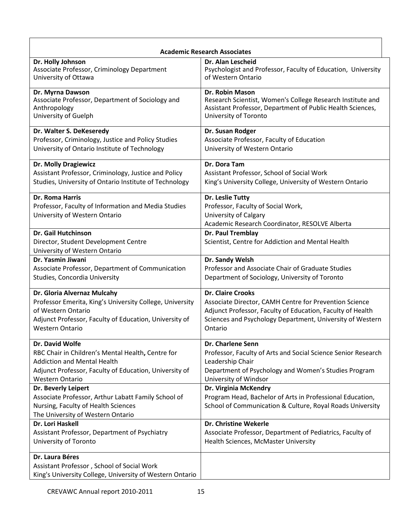| <b>Academic Research Associates</b>                                                                                                                    |                                                                                                                                                 |
|--------------------------------------------------------------------------------------------------------------------------------------------------------|-------------------------------------------------------------------------------------------------------------------------------------------------|
| Dr. Holly Johnson                                                                                                                                      | Dr. Alan Lescheid                                                                                                                               |
| Associate Professor, Criminology Department                                                                                                            | Psychologist and Professor, Faculty of Education, University                                                                                    |
| University of Ottawa                                                                                                                                   | of Western Ontario                                                                                                                              |
| Dr. Myrna Dawson                                                                                                                                       | Dr. Robin Mason                                                                                                                                 |
| Associate Professor, Department of Sociology and                                                                                                       | Research Scientist, Women's College Research Institute and                                                                                      |
| Anthropology                                                                                                                                           | Assistant Professor, Department of Public Health Sciences,                                                                                      |
| University of Guelph                                                                                                                                   | University of Toronto                                                                                                                           |
| Dr. Walter S. DeKeseredy                                                                                                                               | Dr. Susan Rodger                                                                                                                                |
| Professor, Criminology, Justice and Policy Studies                                                                                                     | Associate Professor, Faculty of Education                                                                                                       |
| University of Ontario Institute of Technology                                                                                                          | University of Western Ontario                                                                                                                   |
| <b>Dr. Molly Dragiewicz</b>                                                                                                                            | Dr. Dora Tam                                                                                                                                    |
| Assistant Professor, Criminology, Justice and Policy                                                                                                   | Assistant Professor, School of Social Work                                                                                                      |
| Studies, University of Ontario Institute of Technology                                                                                                 | King's University College, University of Western Ontario                                                                                        |
| Dr. Roma Harris<br>Professor, Faculty of Information and Media Studies<br>University of Western Ontario                                                | Dr. Leslie Tutty<br>Professor, Faculty of Social Work,<br>University of Calgary<br>Academic Research Coordinator, RESOLVE Alberta               |
| <b>Dr. Gail Hutchinson</b><br>Director, Student Development Centre<br>University of Western Ontario                                                    | Dr. Paul Tremblay<br>Scientist, Centre for Addiction and Mental Health                                                                          |
| Dr. Yasmin Jiwani                                                                                                                                      | Dr. Sandy Welsh                                                                                                                                 |
| Associate Professor, Department of Communication                                                                                                       | Professor and Associate Chair of Graduate Studies                                                                                               |
| Studies, Concordia University                                                                                                                          | Department of Sociology, University of Toronto                                                                                                  |
| Dr. Gloria Alvernaz Mulcahy                                                                                                                            | <b>Dr. Claire Crooks</b>                                                                                                                        |
| Professor Emerita, King's University College, University                                                                                               | Associate Director, CAMH Centre for Prevention Science                                                                                          |
| of Western Ontario                                                                                                                                     | Adjunct Professor, Faculty of Education, Faculty of Health                                                                                      |
| Adjunct Professor, Faculty of Education, University of                                                                                                 | Sciences and Psychology Department, University of Western                                                                                       |
| Western Ontario                                                                                                                                        | Ontario                                                                                                                                         |
| Dr. David Wolfe                                                                                                                                        | <b>Dr. Charlene Senn</b>                                                                                                                        |
| RBC Chair in Children's Mental Health, Centre for                                                                                                      | Professor, Faculty of Arts and Social Science Senior Research                                                                                   |
| <b>Addiction and Mental Health</b>                                                                                                                     | Leadership Chair                                                                                                                                |
| Adjunct Professor, Faculty of Education, University of                                                                                                 | Department of Psychology and Women's Studies Program                                                                                            |
| <b>Western Ontario</b>                                                                                                                                 | University of Windsor                                                                                                                           |
| Dr. Beverly Leipert<br>Associate Professor, Arthur Labatt Family School of<br>Nursing, Faculty of Health Sciences<br>The University of Western Ontario | Dr. Virginia McKendry<br>Program Head, Bachelor of Arts in Professional Education,<br>School of Communication & Culture, Royal Roads University |
| Dr. Lori Haskell                                                                                                                                       | <b>Dr. Christine Wekerle</b>                                                                                                                    |
| Assistant Professor, Department of Psychiatry                                                                                                          | Associate Professor, Department of Pediatrics, Faculty of                                                                                       |
| University of Toronto                                                                                                                                  | Health Sciences, McMaster University                                                                                                            |
| Dr. Laura Béres<br>Assistant Professor, School of Social Work<br>King's University College, University of Western Ontario                              |                                                                                                                                                 |

 $\mathbf{r}$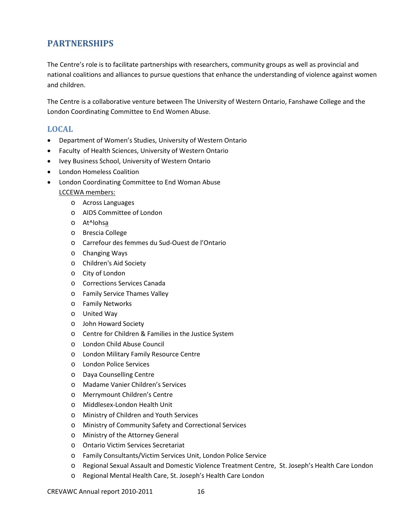## <span id="page-15-0"></span>**PARTNERSHIPS**

The Centre's role is to facilitate partnerships with researchers, community groups as well as provincial and national coalitions and alliances to pursue questions that enhance the understanding of violence against women and children.

The Centre is a collaborative venture between The University of Western Ontario, Fanshawe College and the London Coordinating Committee to End Women Abuse.

#### **LOCAL**

- Department of Women's Studies, University of Western Ontario
- Faculty of Health Sciences, University of Western Ontario
- Ivey Business School, University of Western Ontario
- London Homeless Coalition
- London Coordinating Committee to End Woman Abuse
	- LCCEWA members:
		- o Across Languages
		- o AIDS Committee of London
		- o At^lohsa
		- o Brescia College
		- o Carrefour des femmes du Sud-Ouest de l'Ontario
		- o Changing Ways
		- o Children's Aid Society
		- o City of London
		- o Corrections Services Canada
		- o Family Service Thames Valley
		- o Family Networks
		- o United Way
		- o John Howard Society
		- o Centre for Children & Families in the Justice System
		- o London Child Abuse Council
		- o London Military Family Resource Centre
		- o London Police Services
		- o Daya Counselling Centre
		- o Madame Vanier Children's Services
		- o Merrymount Children's Centre
		- o Middlesex-London Health Unit
		- o Ministry of Children and Youth Services
		- o Ministry of Community Safety and Correctional Services
		- o Ministry of the Attorney General
		- o Ontario Victim Services Secretariat
		- o Family Consultants/Victim Services Unit, London Police Service
		- o Regional Sexual Assault and Domestic Violence Treatment Centre, St. Joseph's Health Care London
		- o Regional Mental Health Care, St. Joseph's Health Care London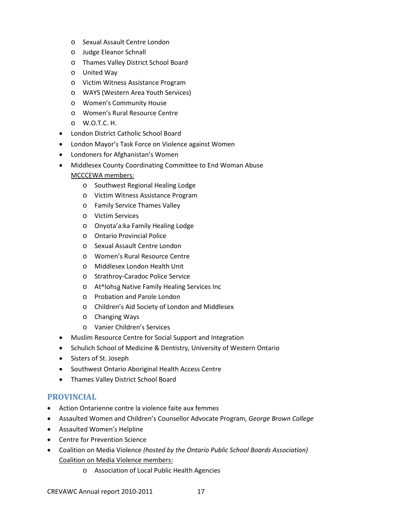- o Sexual Assault Centre London
- o Judge Eleanor Schnall
- o Thames Valley District School Board
- o United Way
- o Victim Witness Assistance Program
- o WAYS (Western Area Youth Services)
- o Women's Community House
- o Women's Rural Resource Centre
- o W.O.T.C. H.
- London District Catholic School Board
- London Mayor's Task Force on Violence against Women
- Londoners for Afghanistan's Women
- Middlesex County Coordinating Committee to End Woman Abuse MCCCEWA members:
	- o Southwest Regional Healing Lodge
	- o Victim Witness Assistance Program
	- o Family Service Thames Valley
	- o Victim Services
	- o Onyota'a:ka Family Healing Lodge
	- o Ontario Provincial Police
	- o Sexual Assault Centre London
	- o Women's Rural Resource Centre
	- o Middlesex London Health Unit
	- o Strathroy-Caradoc Police Service
	- o At^lohsa Native Family Healing Services Inc
	- o Probation and Parole London
	- o Children's Aid Society of London and Middlesex
	- o Changing Ways
	- o Vanier Children's Services
- Muslim Resource Centre for Social Support and Integration
- Schulich School of Medicine & Dentistry, University of Western Ontario
- Sisters of St. Joseph
- Southwest Ontario Aboriginal Health Access Centre
- Thames Valley District School Board

#### **PROVINCIAL**

- Action Ontarienne contre la violence faite aux femmes
- Assaulted Women and Children's Counsellor Advocate Program, *George Brown College*
- Assaulted Women's Helpline
- Centre for Prevention Science
- Coalition on Media Violence *(hosted by the Ontario Public School Boards Association)* Coalition on Media Violence members:
	- o Association of Local Public Health Agencies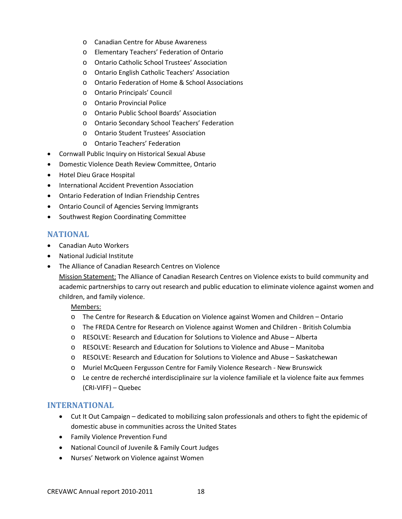- o Canadian Centre for Abuse Awareness
- o Elementary Teachers' Federation of Ontario
- o Ontario Catholic School Trustees' Association
- o Ontario English Catholic Teachers' Association
- o Ontario Federation of Home & School Associations
- o Ontario Principals' Council
- o Ontario Provincial Police
- o Ontario Public School Boards' Association
- o Ontario Secondary School Teachers' Federation
- o Ontario Student Trustees' Association
- o Ontario Teachers' Federation
- Cornwall Public Inquiry on Historical Sexual Abuse
- Domestic Violence Death Review Committee, Ontario
- Hotel Dieu Grace Hospital
- International Accident Prevention Association
- Ontario Federation of Indian Friendship Centres
- Ontario Council of Agencies Serving Immigrants
- Southwest Region Coordinating Committee

#### **NATIONAL**

- Canadian Auto Workers
- National Judicial Institute
- The Alliance of Canadian Research Centres on Violence

Mission Statement: The Alliance of Canadian Research Centres on Violence exists to build community and academic partnerships to carry out research and public education to eliminate violence against women and children, and family violence.

Members:

- o The Centre for Research & Education on Violence against Women and Children Ontario
- o The FREDA Centre for Research on Violence against Women and Children British Columbia
- o RESOLVE: Research and Education for Solutions to Violence and Abuse Alberta
- o RESOLVE: Research and Education for Solutions to Violence and Abuse Manitoba
- o RESOLVE: Research and Education for Solutions to Violence and Abuse Saskatchewan
- o Muriel McQueen Fergusson Centre for Family Violence Research New Brunswick
- o Le centre de recherché interdisciplinaire sur la violence familiale et la violence faite aux femmes (CRI-VIFF) – Quebec

#### **INTERNATIONAL**

- Cut It Out Campaign dedicated to mobilizing salon professionals and others to fight the epidemic of domestic abuse in communities across the United States
- Family Violence Prevention Fund
- National Council of Juvenile & Family Court Judges
- Nurses' Network on Violence against Women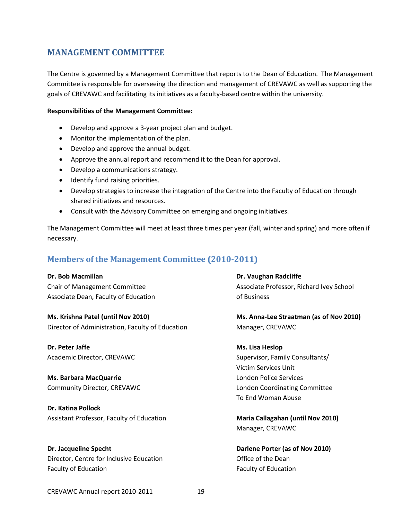## <span id="page-18-0"></span>**MANAGEMENT COMMITTEE**

The Centre is governed by a Management Committee that reports to the Dean of Education. The Management Committee is responsible for overseeing the direction and management of CREVAWC as well as supporting the goals of CREVAWC and facilitating its initiatives as a faculty-based centre within the university.

#### **Responsibilities of the Management Committee:**

- Develop and approve a 3-year project plan and budget.
- Monitor the implementation of the plan.
- Develop and approve the annual budget.
- Approve the annual report and recommend it to the Dean for approval.
- Develop a communications strategy.
- Identify fund raising priorities.
- Develop strategies to increase the integration of the Centre into the Faculty of Education through shared initiatives and resources.
- Consult with the Advisory Committee on emerging and ongoing initiatives.

The Management Committee will meet at least three times per year (fall, winter and spring) and more often if necessary.

#### **Members of the Management Committee (2010-2011)**

Associate Dean, Faculty of Education **Example 20** of Business

**Ms. Krishna Patel (until Nov 2010) Ms. Anna-Lee Straatman (as of Nov 2010)**  Director of Administration, Faculty of Education Manager, CREVAWC

**Dr. Peter Jaffe Ms. Lisa Heslop**

**Ms. Barbara MacQuarrie London Police Services London Police Services** 

**Dr. Katina Pollock** Assistant Professor, Faculty of Education **Maria Callagahan (until Nov 2010)**

**Dr. Jacqueline Specht Darlene Porter (as of Nov 2010)**  Director, Centre for Inclusive Education **Contract Contract Contract Contract Contract** Office of the Dean Faculty of Education **Faculty of Education** Faculty of Education

**Dr. Bob Macmillan Dr. Bob Macmillan Dr. Bob Macmillan** Chair of Management Committee Associate Professor, Richard Ivey School

Academic Director, CREVAWC Supervisor, Family Consultants/ Victim Services Unit Community Director, CREVAWC London Coordinating Committee To End Woman Abuse

Manager, CREVAWC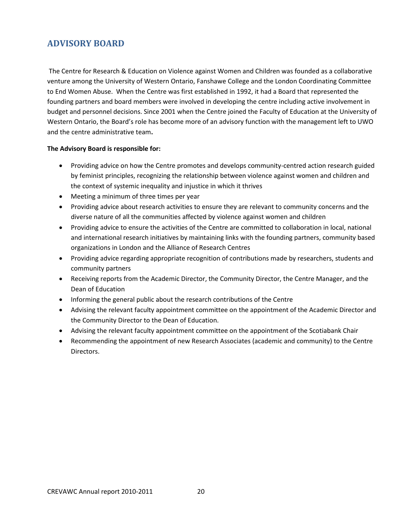## <span id="page-19-0"></span>**ADVISORY BOARD**

The Centre for Research & Education on Violence against Women and Children was founded as a collaborative venture among the University of Western Ontario, Fanshawe College and the London Coordinating Committee to End Women Abuse. When the Centre was first established in 1992, it had a Board that represented the founding partners and board members were involved in developing the centre including active involvement in budget and personnel decisions. Since 2001 when the Centre joined the Faculty of Education at the University of Western Ontario, the Board's role has become more of an advisory function with the management left to UWO and the centre administrative team**.**

#### **The Advisory Board is responsible for:**

- Providing advice on how the Centre promotes and develops community-centred action research guided by feminist principles, recognizing the relationship between violence against women and children and the context of systemic inequality and injustice in which it thrives
- Meeting a minimum of three times per year
- Providing advice about research activities to ensure they are relevant to community concerns and the diverse nature of all the communities affected by violence against women and children
- Providing advice to ensure the activities of the Centre are committed to collaboration in local, national and international research initiatives by maintaining links with the founding partners, community based organizations in London and the Alliance of Research Centres
- Providing advice regarding appropriate recognition of contributions made by researchers, students and community partners
- Receiving reports from the Academic Director, the Community Director, the Centre Manager, and the Dean of Education
- Informing the general public about the research contributions of the Centre
- Advising the relevant faculty appointment committee on the appointment of the Academic Director and the Community Director to the Dean of Education.
- Advising the relevant faculty appointment committee on the appointment of the Scotiabank Chair
- Recommending the appointment of new Research Associates (academic and community) to the Centre Directors.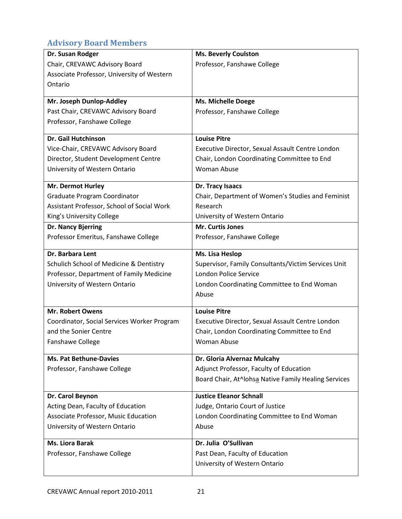## **Advisory Board Members**

| Dr. Susan Rodger                            | <b>Ms. Beverly Coulston</b>                          |
|---------------------------------------------|------------------------------------------------------|
| Chair, CREVAWC Advisory Board               | Professor, Fanshawe College                          |
| Associate Professor, University of Western  |                                                      |
| Ontario                                     |                                                      |
|                                             |                                                      |
| Mr. Joseph Dunlop-Addley                    | <b>Ms. Michelle Doege</b>                            |
| Past Chair, CREVAWC Advisory Board          | Professor, Fanshawe College                          |
| Professor, Fanshawe College                 |                                                      |
| Dr. Gail Hutchinson                         | <b>Louise Pitre</b>                                  |
| Vice-Chair, CREVAWC Advisory Board          | Executive Director, Sexual Assault Centre London     |
| Director, Student Development Centre        | Chair, London Coordinating Committee to End          |
| University of Western Ontario               | <b>Woman Abuse</b>                                   |
| Mr. Dermot Hurley                           | Dr. Tracy Isaacs                                     |
| Graduate Program Coordinator                | Chair, Department of Women's Studies and Feminist    |
| Assistant Professor, School of Social Work  | Research                                             |
| King's University College                   | University of Western Ontario                        |
| Dr. Nancy Bjerring                          | Mr. Curtis Jones                                     |
| Professor Emeritus, Fanshawe College        | Professor, Fanshawe College                          |
| Dr. Barbara Lent                            | Ms. Lisa Heslop                                      |
| Schulich School of Medicine & Dentistry     | Supervisor, Family Consultants/Victim Services Unit  |
| Professor, Department of Family Medicine    | <b>London Police Service</b>                         |
| University of Western Ontario               | London Coordinating Committee to End Woman           |
|                                             | Abuse                                                |
| <b>Mr. Robert Owens</b>                     | <b>Louise Pitre</b>                                  |
| Coordinator, Social Services Worker Program | Executive Director, Sexual Assault Centre London     |
| and the Sonier Centre                       | Chair, London Coordinating Committee to End          |
| <b>Fanshawe College</b>                     | Woman Abuse                                          |
| <b>Ms. Pat Bethune-Davies</b>               | Dr. Gloria Alvernaz Mulcahy                          |
| Professor, Fanshawe College                 | Adjunct Professor, Faculty of Education              |
|                                             | Board Chair, At^lohsa Native Family Healing Services |
|                                             |                                                      |
| Dr. Carol Beynon                            | <b>Justice Eleanor Schnall</b>                       |
| Acting Dean, Faculty of Education           | Judge, Ontario Court of Justice                      |
| Associate Professor, Music Education        | London Coordinating Committee to End Woman           |
| University of Western Ontario               | Abuse                                                |
| <b>Ms. Liora Barak</b>                      | Dr. Julia O'Sullivan                                 |
| Professor, Fanshawe College                 | Past Dean, Faculty of Education                      |
|                                             | University of Western Ontario                        |
|                                             |                                                      |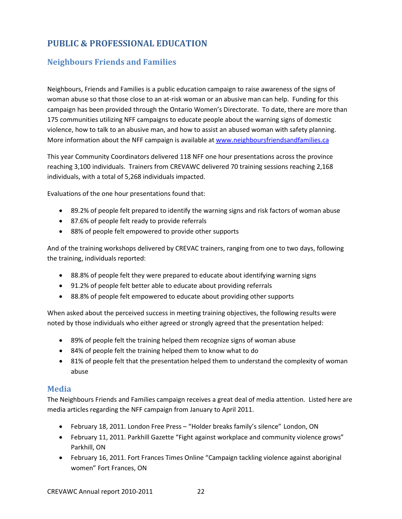## <span id="page-21-0"></span>**PUBLIC & PROFESSIONAL EDUCATION**

## **Neighbours Friends and Families**

Neighbours, Friends and Families is a public education campaign to raise awareness of the signs of woman abuse so that those close to an at-risk woman or an abusive man can help. Funding for this campaign has been provided through the Ontario Women's Directorate. To date, there are more than 175 communities utilizing NFF campaigns to educate people about the warning signs of domestic violence, how to talk to an abusive man, and how to assist an abused woman with safety planning. More information about the NFF campaign is available at [www.neighboursfriendsandfamilies.ca](http://www.neighboursfriendsandfamilies.ca/)

This year Community Coordinators delivered 118 NFF one hour presentations across the province reaching 3,100 individuals. Trainers from CREVAWC delivered 70 training sessions reaching 2,168 individuals, with a total of 5,268 individuals impacted.

Evaluations of the one hour presentations found that:

- 89.2% of people felt prepared to identify the warning signs and risk factors of woman abuse
- 87.6% of people felt ready to provide referrals
- 88% of people felt empowered to provide other supports

And of the training workshops delivered by CREVAC trainers, ranging from one to two days, following the training, individuals reported:

- 88.8% of people felt they were prepared to educate about identifying warning signs
- 91.2% of people felt better able to educate about providing referrals
- 88.8% of people felt empowered to educate about providing other supports

When asked about the perceived success in meeting training objectives, the following results were noted by those individuals who either agreed or strongly agreed that the presentation helped:

- 89% of people felt the training helped them recognize signs of woman abuse
- 84% of people felt the training helped them to know what to do
- 81% of people felt that the presentation helped them to understand the complexity of woman abuse

#### **Media**

The Neighbours Friends and Families campaign receives a great deal of media attention. Listed here are media articles regarding the NFF campaign from January to April 2011.

- February 18, 2011. London Free Press "Holder breaks family's silence" London, ON
- February 11, 2011. Parkhill Gazette "Fight against workplace and community violence grows" Parkhill, ON
- February 16, 2011. Fort Frances Times Online "Campaign tackling violence against aboriginal women" Fort Frances, ON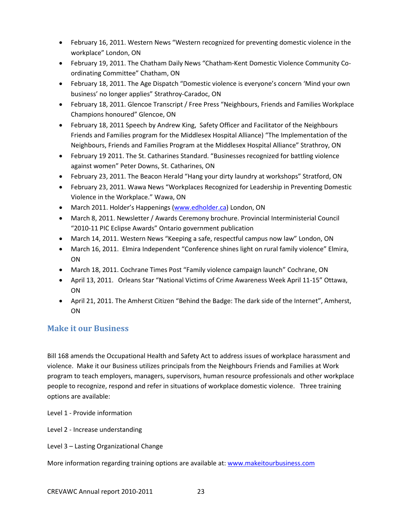- February 16, 2011. Western News "Western recognized for preventing domestic violence in the workplace" London, ON
- February 19, 2011. The Chatham Daily News "Chatham-Kent Domestic Violence Community Coordinating Committee" Chatham, ON
- February 18, 2011. The Age Dispatch "Domestic violence is everyone's concern 'Mind your own business' no longer applies" Strathroy-Caradoc, ON
- February 18, 2011. Glencoe Transcript / Free Press "Neighbours, Friends and Families Workplace Champions honoured" Glencoe, ON
- February 18, 2011 Speech by Andrew King, Safety Officer and Facilitator of the Neighbours Friends and Families program for the Middlesex Hospital Alliance) "The Implementation of the Neighbours, Friends and Families Program at the Middlesex Hospital Alliance" Strathroy, ON
- February 19 2011. The St. Catharines Standard. "Businesses recognized for battling violence against women" Peter Downs, St. Catharines, ON
- February 23, 2011. The Beacon Herald "Hang your dirty laundry at workshops" Stratford, ON
- February 23, 2011. Wawa News "Workplaces Recognized for Leadership in Preventing Domestic Violence in the Workplace." Wawa, ON
- March 2011. Holder's Happenings [\(www.edholder.ca\)](http://www.edholder.ca/) London, ON
- March 8, 2011. Newsletter / Awards Ceremony brochure. Provincial Interministerial Council "2010-11 PIC Eclipse Awards" Ontario government publication
- March 14, 2011. Western News "Keeping a safe, respectful campus now law" London, ON
- March 16, 2011. Elmira Independent "Conference shines light on rural family violence" Elmira, **ON**
- March 18, 2011. Cochrane Times Post "Family violence campaign launch" Cochrane, ON
- April 13, 2011. Orleans Star "National Victims of Crime Awareness Week April 11-15" Ottawa, ON
- April 21, 2011. The Amherst Citizen "Behind the Badge: The dark side of the Internet", Amherst, ON

## **Make it our Business**

Bill 168 amends the Occupational Health and Safety Act to address issues of workplace harassment and violence. Make it our Business utilizes principals from the Neighbours Friends and Families at Work program to teach employers, managers, supervisors, human resource professionals and other workplace people to recognize, respond and refer in situations of workplace domestic violence. Three training options are available:

Level 1 - Provide information

Level 2 - Increase understanding

Level 3 – Lasting Organizational Change

More information regarding training options are available at[: www.makeitourbusiness.com](http://www.makeitourbusiness.com/)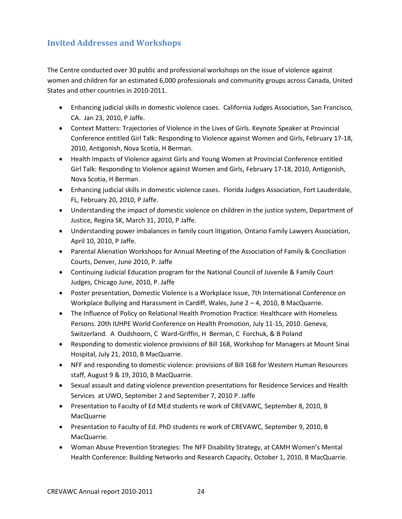## **Invited Addresses and Workshops**

The Centre conducted over 30 public and professional workshops on the issue of violence against women and children for an estimated 6,000 professionals and community groups across Canada, United States and other countries in 2010-2011.

- Enhancing judicial skills in domestic violence cases. California Judges Association, San Francisco, CA. Jan 23, 2010, P Jaffe.
- Context Matters: Trajectories of Violence in the Lives of Girls. Keynote Speaker at Provincial Conference entitled Girl Talk: Responding to Violence against Women and Girls, February 17-18, 2010, Antigonish, Nova Scotia, H Berman.
- Health Impacts of Violence against Girls and Young Women at Provincial Conference entitled Girl Talk: Responding to Violence against Women and Girls, February 17-18, 2010, Antigonish, Nova Scotia, H Berman.
- Enhancing judicial skills in domestic violence cases. Florida Judges Association, Fort Lauderdale, FL, February 20, 2010, P Jaffe.
- Understanding the impact of domestic violence on children in the justice system, Department of Justice, Regina SK, March 31, 2010, P Jaffe.
- Understanding power imbalances in family court litigation, Ontario Family Lawyers Association, April 10, 2010, P Jaffe.
- Parental Alienation Workshops for Annual Meeting of the Association of Family & Conciliation Courts, Denver, June 2010, P. Jaffe
- Continuing Judicial Education program for the National Council of Juvenile & Family Court Judges, Chicago June, 2010, P. Jaffe
- Poster presentation, Domestic Violence is a Workplace Issue, 7th International Conference on Workplace Bullying and Harassment in Cardiff, Wales, June 2 – 4, 2010, B MacQuarrie.
- The Influence of Policy on Relational Health Promotion Practice: Healthcare with Homeless Persons. 20th IUHPE World Conference on Health Promotion, July 11-15, 2010. Geneva, Switzerland. A Oudshoorn, C Ward-Griffin, H Berman, C Forchuk, & B Poland
- Responding to domestic violence provisions of Bill 168, Workshop for Managers at Mount Sinai Hospital, July 21, 2010, B MacQuarrie.
- NFF and responding to domestic violence: provisions of Bill 168 for Western Human Resources staff, August 9 & 19, 2010, B MacQuarrie.
- Sexual assault and dating violence prevention presentations for Residence Services and Health Services at UWO, September 2 and September 7, 2010 P. Jaffe
- Presentation to Faculty of Ed MEd students re work of CREVAWC, September 8, 2010, B MacQuarrie
- Presentation to Faculty of Ed. PhD students re work of CREVAWC, September 9, 2010, B MacQuarrie.
- Woman Abuse Prevention Strategies: The NFF Disability Strategy, at CAMH Women's Mental Health Conference: Building Networks and Research Capacity, October 1, 2010, B MacQuarrie.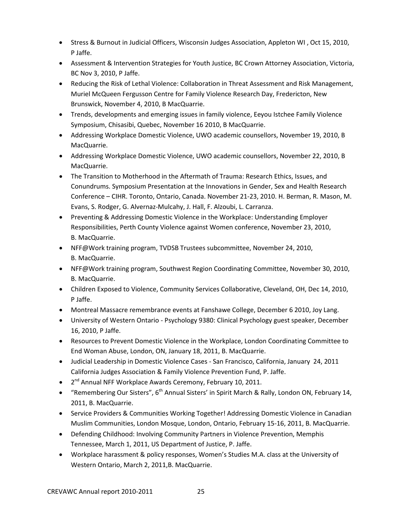- Stress & Burnout in Judicial Officers, Wisconsin Judges Association, Appleton WI , Oct 15, 2010, P Jaffe.
- Assessment & Intervention Strategies for Youth Justice, BC Crown Attorney Association, Victoria, BC Nov 3, 2010, P Jaffe.
- Reducing the Risk of Lethal Violence: Collaboration in Threat Assessment and Risk Management, Muriel McQueen Fergusson Centre for Family Violence Research Day, Fredericton, New Brunswick, November 4, 2010, B MacQuarrie.
- Trends, developments and emerging issues in family violence, Eeyou Istchee Family Violence Symposium, Chisasibi, Quebec, November 16 2010, B MacQuarrie.
- Addressing Workplace Domestic Violence, UWO academic counsellors, November 19, 2010, B MacQuarrie.
- Addressing Workplace Domestic Violence, UWO academic counsellors, November 22, 2010, B MacQuarrie.
- The Transition to Motherhood in the Aftermath of Trauma: Research Ethics, Issues, and Conundrums. Symposium Presentation at the Innovations in Gender, Sex and Health Research Conference – CIHR. Toronto, Ontario, Canada. November 21-23, 2010. H. Berman, R. Mason, M. Evans, S. Rodger, G. Alvernaz-Mulcahy, J. Hall, F. Alzoubi, L. Carranza.
- Preventing & Addressing Domestic Violence in the Workplace: Understanding Employer Responsibilities, Perth County Violence against Women conference, November 23, 2010, B. MacQuarrie.
- NFF@Work training program, TVDSB Trustees subcommittee, November 24, 2010, B. MacQuarrie.
- NFF@Work training program, Southwest Region Coordinating Committee, November 30, 2010, B. MacQuarrie.
- Children Exposed to Violence, Community Services Collaborative, Cleveland, OH, Dec 14, 2010, P Jaffe.
- Montreal Massacre remembrance events at Fanshawe College, December 6 2010, Joy Lang.
- University of Western Ontario Psychology 9380: Clinical Psychology guest speaker, December 16, 2010, P Jaffe.
- Resources to Prevent Domestic Violence in the Workplace, London Coordinating Committee to End Woman Abuse, London, ON, January 18, 2011, B. MacQuarrie.
- Judicial Leadership in Domestic Violence Cases San Francisco, California, January 24, 2011 California Judges Association & Family Violence Prevention Fund, P. Jaffe.
- $\bullet$   $2^{nd}$  Annual NFF Workplace Awards Ceremony, February 10, 2011.
- "Remembering Our Sisters",  $6^{th}$  Annual Sisters' in Spirit March & Rally, London ON, February 14, 2011, B. MacQuarrie.
- Service Providers & Communities Working Together! Addressing Domestic Violence in Canadian Muslim Communities, London Mosque, London, Ontario, February 15-16, 2011, B. MacQuarrie.
- Defending Childhood: Involving Community Partners in Violence Prevention, Memphis Tennessee, March 1, 2011, US Department of Justice, P. Jaffe.
- Workplace harassment & policy responses, Women's Studies M.A. class at the University of Western Ontario, March 2, 2011,B. MacQuarrie.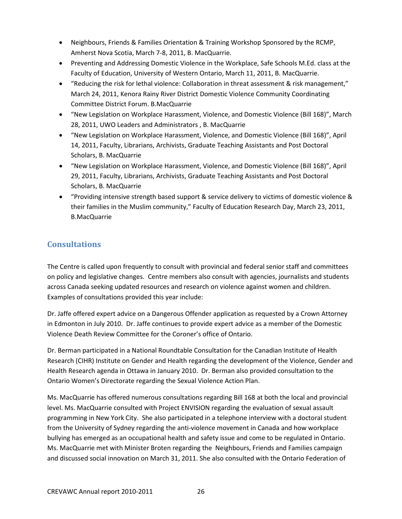- Neighbours, Friends & Families Orientation & Training Workshop Sponsored by the RCMP, Amherst Nova Scotia, March 7-8, 2011, B. MacQuarrie.
- Preventing and Addressing Domestic Violence in the Workplace, Safe Schools M.Ed. class at the Faculty of Education, University of Western Ontario, March 11, 2011, B. MacQuarrie.
- "Reducing the risk for lethal violence: Collaboration in threat assessment & risk management," March 24, 2011, Kenora Rainy River District Domestic Violence Community Coordinating Committee District Forum. B.MacQuarrie
- "New Legislation on Workplace Harassment, Violence, and Domestic Violence (Bill 168)", March 28, 2011, UWO Leaders and Administrators , B. MacQuarrie
- "New Legislation on Workplace Harassment, Violence, and Domestic Violence (Bill 168)", April 14, 2011, Faculty, Librarians, Archivists, Graduate Teaching Assistants and Post Doctoral Scholars, B. MacQuarrie
- "New Legislation on Workplace Harassment, Violence, and Domestic Violence (Bill 168)", April 29, 2011, Faculty, Librarians, Archivists, Graduate Teaching Assistants and Post Doctoral Scholars, B. MacQuarrie
- "Providing intensive strength based support & service delivery to victims of domestic violence & their families in the Muslim community," Faculty of Education Research Day, March 23, 2011, B.MacQuarrie

## **Consultations**

The Centre is called upon frequently to consult with provincial and federal senior staff and committees on policy and legislative changes. Centre members also consult with agencies, journalists and students across Canada seeking updated resources and research on violence against women and children. Examples of consultations provided this year include:

Dr. Jaffe offered expert advice on a Dangerous Offender application as requested by a Crown Attorney in Edmonton in July 2010. Dr. Jaffe continues to provide expert advice as a member of the Domestic Violence Death Review Committee for the Coroner's office of Ontario.

Dr. Berman participated in a National Roundtable Consultation for the Canadian Institute of Health Research (CIHR) Institute on Gender and Health regarding the development of the Violence, Gender and Health Research agenda in Ottawa in January 2010. Dr. Berman also provided consultation to the Ontario Women's Directorate regarding the Sexual Violence Action Plan.

Ms. MacQuarrie has offered numerous consultations regarding Bill 168 at both the local and provincial level. Ms. MacQuarrie consulted with Project ENVISION regarding the evaluation of sexual assault programming in New York City. She also participated in a telephone interview with a doctoral student from the University of Sydney regarding the anti-violence movement in Canada and how workplace bullying has emerged as an occupational health and safety issue and come to be regulated in Ontario. Ms. MacQuarrie met with Minister Broten regarding the Neighbours, Friends and Families campaign and discussed social innovation on March 31, 2011. She also consulted with the Ontario Federation of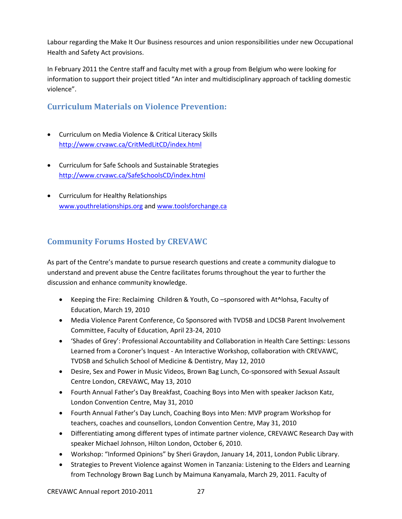Labour regarding the Make It Our Business resources and union responsibilities under new Occupational Health and Safety Act provisions.

In February 2011 the Centre staff and faculty met with a group from Belgium who were looking for information to support their project titled "An inter and multidisciplinary approach of tackling domestic violence".

## **Curriculum Materials on Violence Prevention:**

- Curriculum on Media Violence & Critical Literacy Skills <http://www.crvawc.ca/CritMedLitCD/index.html>
- Curriculum for Safe Schools and Sustainable Strategies <http://www.crvawc.ca/SafeSchoolsCD/index.html>
- Curriculum for Healthy Relationships [www.youthrelationships.org](http://www.youthrelationships.org/) and [www.toolsforchange.ca](http://www.toolsforchange.ca/)

## **Community Forums Hosted by CREVAWC**

As part of the Centre's mandate to pursue research questions and create a community dialogue to understand and prevent abuse the Centre facilitates forums throughout the year to further the discussion and enhance community knowledge.

- Keeping the Fire: Reclaiming Children & Youth, Co -sponsored with At^lohsa, Faculty of Education, March 19, 2010
- Media Violence Parent Conference, Co Sponsored with TVDSB and LDCSB Parent Involvement Committee, Faculty of Education, April 23-24, 2010
- 'Shades of Grey': Professional Accountability and Collaboration in Health Care Settings: Lessons Learned from a Coroner's Inquest - An Interactive Workshop, collaboration with CREVAWC, TVDSB and Schulich School of Medicine & Dentistry, May 12, 2010
- Desire, Sex and Power in Music Videos, Brown Bag Lunch, Co-sponsored with Sexual Assault Centre London, CREVAWC, May 13, 2010
- Fourth Annual Father's Day Breakfast, Coaching Boys into Men with speaker Jackson Katz, London Convention Centre, May 31, 2010
- Fourth Annual Father's Day Lunch, Coaching Boys into Men: MVP program Workshop for teachers, coaches and counsellors, London Convention Centre, May 31, 2010
- Differentiating among different types of intimate partner violence, CREVAWC Research Day with speaker Michael Johnson, Hilton London, October 6, 2010.
- Workshop: "Informed Opinions" by Sheri Graydon, January 14, 2011, London Public Library.
- Strategies to Prevent Violence against Women in Tanzania: Listening to the Elders and Learning from Technology Brown Bag Lunch by Maimuna Kanyamala, March 29, 2011. Faculty of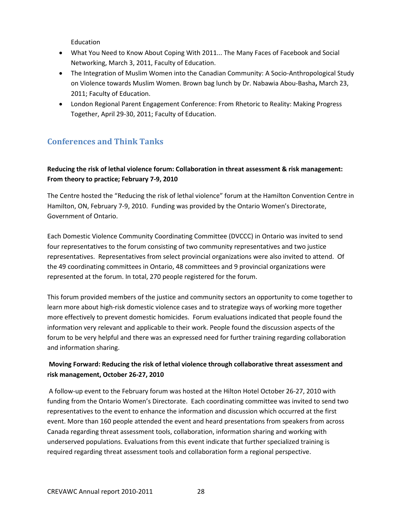Education

- What You Need to Know About Coping With 2011... The Many Faces of Facebook and Social Networking, March 3, 2011, Faculty of Education.
- The Integration of Muslim Women into the Canadian Community: A Socio-Anthropological Study on Violence towards Muslim Women. Brown bag lunch by Dr. Nabawia Abou-Basha**,** March 23, 2011; Faculty of Education.
- London Regional Parent Engagement Conference: From Rhetoric to Reality: Making Progress Together, April 29-30, 2011; Faculty of Education.

## **Conferences and Think Tanks**

#### **Reducing the risk of lethal violence forum: Collaboration in threat assessment & risk management: From theory to practice; February 7-9, 2010**

The Centre hosted the "Reducing the risk of lethal violence" forum at the Hamilton Convention Centre in Hamilton, ON, February 7-9, 2010. Funding was provided by the Ontario Women's Directorate, Government of Ontario.

Each Domestic Violence Community Coordinating Committee (DVCCC) in Ontario was invited to send four representatives to the forum consisting of two community representatives and two justice representatives. Representatives from select provincial organizations were also invited to attend. Of the 49 coordinating committees in Ontario, 48 committees and 9 provincial organizations were represented at the forum. In total, 270 people registered for the forum.

This forum provided members of the justice and community sectors an opportunity to come together to learn more about high-risk domestic violence cases and to strategize ways of working more together more effectively to prevent domestic homicides. Forum evaluations indicated that people found the information very relevant and applicable to their work. People found the discussion aspects of the forum to be very helpful and there was an expressed need for further training regarding collaboration and information sharing.

#### **Moving Forward: Reducing the risk of lethal violence through collaborative threat assessment and risk management, October 26-27, 2010**

A follow-up event to the February forum was hosted at the Hilton Hotel October 26-27, 2010 with funding from the Ontario Women's Directorate. Each coordinating committee was invited to send two representatives to the event to enhance the information and discussion which occurred at the first event. More than 160 people attended the event and heard presentations from speakers from across Canada regarding threat assessment tools, collaboration, information sharing and working with underserved populations. Evaluations from this event indicate that further specialized training is required regarding threat assessment tools and collaboration form a regional perspective.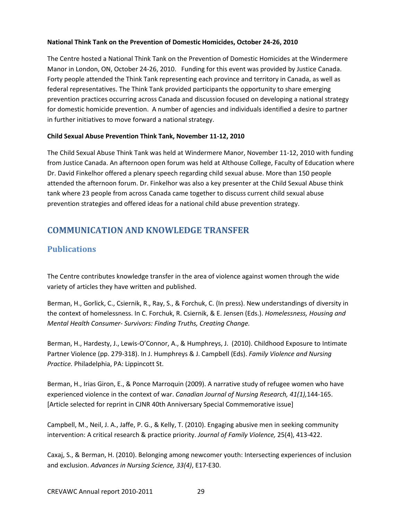#### **National Think Tank on the Prevention of Domestic Homicides, October 24-26, 2010**

The Centre hosted a National Think Tank on the Prevention of Domestic Homicides at the Windermere Manor in London, ON, October 24-26, 2010. Funding for this event was provided by Justice Canada. Forty people attended the Think Tank representing each province and territory in Canada, as well as federal representatives. The Think Tank provided participants the opportunity to share emerging prevention practices occurring across Canada and discussion focused on developing a national strategy for domestic homicide prevention. A number of agencies and individuals identified a desire to partner in further initiatives to move forward a national strategy.

#### **Child Sexual Abuse Prevention Think Tank, November 11-12, 2010**

The Child Sexual Abuse Think Tank was held at Windermere Manor, November 11-12, 2010 with funding from Justice Canada. An afternoon open forum was held at Althouse College, Faculty of Education where Dr. David Finkelhor offered a plenary speech regarding child sexual abuse. More than 150 people attended the afternoon forum. Dr. Finkelhor was also a key presenter at the Child Sexual Abuse think tank where 23 people from across Canada came together to discuss current child sexual abuse prevention strategies and offered ideas for a national child abuse prevention strategy.

## <span id="page-28-0"></span>**COMMUNICATION AND KNOWLEDGE TRANSFER**

## **Publications**

The Centre contributes knowledge transfer in the area of violence against women through the wide variety of articles they have written and published.

Berman, H., Gorlick, C., Csiernik, R., Ray, S., & Forchuk, C. (In press). New understandings of diversity in the context of homelessness. In C. Forchuk, R. Csiernik, & E. Jensen (Eds.). *Homelessness, Housing and Mental Health Consumer- Survivors: Finding Truths, Creating Change.*

Berman, H., Hardesty, J., Lewis-O'Connor, A., & Humphreys, J. (2010). Childhood Exposure to Intimate Partner Violence (pp. 279-318). In J. Humphreys & J. Campbell (Eds). *Family Violence and Nursing Practice.* Philadelphia, PA: Lippincott St.

Berman, H., Irias Giron, E., & Ponce Marroquin (2009). A narrative study of refugee women who have experienced violence in the context of war. *Canadian Journal of Nursing Research, 41(1),*144-165. [Article selected for reprint in CJNR 40th Anniversary Special Commemorative issue]

Campbell, M., Neil, J. A., Jaffe, P. G., & Kelly, T. (2010). Engaging abusive men in seeking community intervention: A critical research & practice priority. *Journal of Family Violence,* 25(4), 413-422.

Caxaj, S., & Berman, H. (2010). Belonging among newcomer youth: Intersecting experiences of inclusion and exclusion. *Advances in Nursing Science, 33(4)*, E17-E30.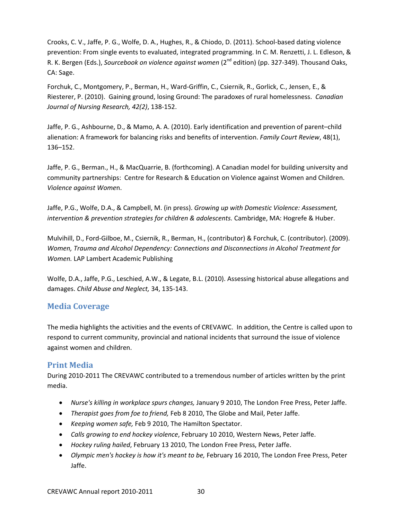Crooks, C. V., Jaffe, P. G., Wolfe, D. A., Hughes, R., & Chiodo, D. (2011). School-based dating violence prevention: From single events to evaluated, integrated programming. In C. M. Renzetti, J. L. Edleson, & R. K. Bergen (Eds.), Sourcebook on violence against women (2<sup>nd</sup> edition) (pp. 327-349). Thousand Oaks, CA: Sage.

Forchuk, C., Montgomery, P., Berman, H., Ward-Griffin, C., Csiernik, R., Gorlick, C., Jensen, E., & Riesterer, P. (2010). Gaining ground, losing Ground: The paradoxes of rural homelessness. *Canadian Journal of Nursing Research, 42(2)*, 138-152.

Jaffe, P. G., Ashbourne, D., & Mamo, A. A. (2010). Early identification and prevention of parent–child alienation: A framework for balancing risks and benefits of intervention. *Family Court Review*, 48(1), 136–152.

Jaffe, P. G., Berman., H., & MacQuarrie, B. (forthcoming). A Canadian model for building university and community partnerships: Centre for Research & Education on Violence against Women and Children. *Violence against Wome*n.

Jaffe, P.G., Wolfe, D.A., & Campbell, M. (in press). *Growing up with Domestic Violence: Assessment, intervention & prevention strategies for children & adolescents.* Cambridge, MA: Hogrefe & Huber.

Mulvihill, D., Ford-Gilboe, M., Csiernik, R., Berman, H., (contributor) & Forchuk, C. (contributor). (2009). *Women, Trauma and Alcohol Dependency: Connections and Disconnections in Alcohol Treatment for Women.* LAP Lambert Academic Publishing

Wolfe, D.A., Jaffe, P.G., Leschied, A.W., & Legate, B.L. (2010). Assessing historical abuse allegations and damages. *Child Abuse and Neglect,* 34, 135-143.

## **Media Coverage**

The media highlights the activities and the events of CREVAWC. In addition, the Centre is called upon to respond to current community, provincial and national incidents that surround the issue of violence against women and children.

## **Print Media**

During 2010-2011 The CREVAWC contributed to a tremendous number of articles written by the print media.

- *Nurse's killing in workplace spurs changes,* January 9 2010, The London Free Press, Peter Jaffe.
- *Therapist goes from foe to friend,* Feb 8 2010, The Globe and Mail, Peter Jaffe.
- *Keeping women safe,* [Feb 9 2010, The Hamilton Spectator.](http://www.crvawc.ca/documents/Keeping%20women%20safe%20-%20Feb%209%202010%20-%20The%20Hamilton%20Spectator.pdf)
- *Calls growing to end hockey violence*, February 10 2010, Western News, Peter Jaffe.
- *Hockey ruling hailed*, February 13 2010, The London Free Press, Peter Jaffe.
- *Olympic men's hockey is how it's meant to be,* February 16 2010, The London Free Press, Peter Jaffe.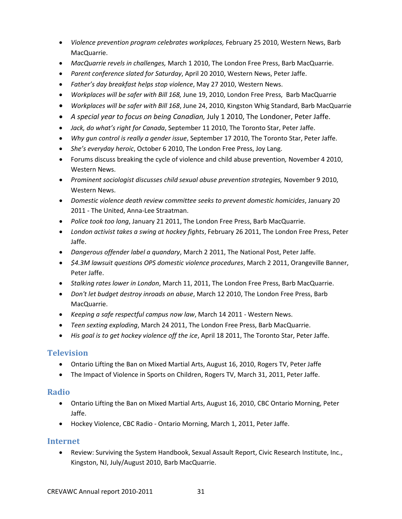- *Violence prevention program celebrates workplaces,* February 25 2010, Western News, Barb MacQuarrie.
- *MacQuarrie revels in challenges,* March 1 2010, The London Free Press, Barb MacQuarrie.
- *Parent conference slated for Saturday*, April 20 2010, Western News, Peter Jaffe.
- *Father's day breakfast helps stop violence*, May 27 2010, Western News.
- *Workplaces will be safer with Bill 168,* June 19, 2010, London Free Press, Barb MacQuarrie
- *Workplaces will be safer with Bill 168*, June 24, 2010, Kingston Whig Standard, Barb MacQuarrie
- *A special year to focus on being Canadian,* July 1 2010, The Londoner, Peter Jaffe.
- *Jack, do what's right for Canada*, September 11 2010, The Toronto Star, Peter Jaffe.
- *Why gun control is really a gender issue*, September 17 2010, The Toronto Star, Peter Jaffe.
- *She's everyday heroic*, October 6 2010, The London Free Press, Joy Lang.
- Forums discuss breaking the cycle of violence and child abuse prevention*,* November 4 2010, Western News.
- *Prominent sociologist discusses child sexual abuse prevention strategies,* November 9 2010, Western News.
- *Domestic violence death review committee seeks to prevent domestic homicides*, January 20 2011 - The United, Anna-Lee Straatman.
- *Police took too long*, January 21 2011, The London Free Press, Barb MacQuarrie.
- *London activist takes a swing at hockey fights*, February 26 2011, The London Free Press, Peter Jaffe.
- *Dangerous offender label a quandary*, March 2 2011, The National Post, Peter Jaffe.
- *\$4.3M lawsuit questions OPS domestic violence procedures*, March 2 2011, Orangeville Banner, Peter Jaffe.
- *Stalking rates lower in London*, March 11, 2011, The London Free Press, Barb MacQuarrie.
- *Don't let budget destroy inroads on abuse*, March 12 2010, The London Free Press, Barb MacQuarrie.
- *Keeping a safe respectful campus now law*, March 14 2011 Western News.
- *Teen sexting exploding*, March 24 2011, The London Free Press, Barb MacQuarrie.
- *His goal is to get hockey violence off the ice*, April 18 2011, The Toronto Star, Peter Jaffe.

## **Television**

- Ontario Lifting the Ban on Mixed Martial Arts, August 16, 2010, Rogers TV, Peter Jaffe
- The Impact of Violence in Sports on Children, Rogers TV, March 31, 2011, Peter Jaffe.

## **Radio**

- Ontario Lifting the Ban on Mixed Martial Arts, August 16, 2010, CBC Ontario Morning, Peter Jaffe.
- Hockey Violence, CBC Radio Ontario Morning, March 1, 2011, Peter Jaffe.

## **Internet**

• Review: Surviving the System Handbook, Sexual Assault Report, Civic Research Institute, Inc., Kingston, NJ, July/August 2010, Barb MacQuarrie.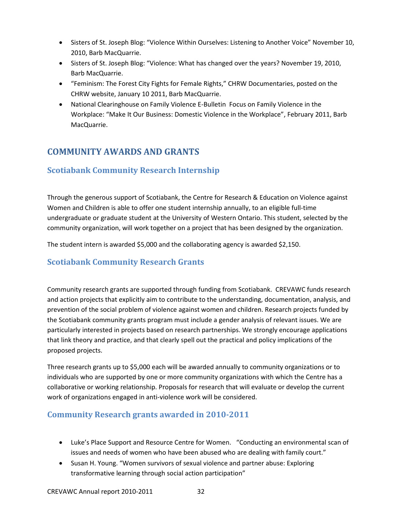- Sisters of St. Joseph Blog: "Violence Within Ourselves: Listening to Another Voice" November 10, 2010, Barb MacQuarrie.
- Sisters of St. Joseph Blog: "Violence: What has changed over the years? November 19, 2010, Barb MacQuarrie.
- "Feminism: The Forest City Fights for Female Rights," CHRW Documentaries, posted on the CHRW website, January 10 2011, Barb MacQuarrie.
- National Clearinghouse on Family Violence E-Bulletin Focus on Family Violence in the Workplace: "Make It Our Business: Domestic Violence in the Workplace", February 2011, Barb MacQuarrie.

## <span id="page-31-0"></span>**COMMUNITY AWARDS AND GRANTS**

## **Scotiabank Community Research Internship**

Through the generous support of Scotiabank, the Centre for Research & Education on Violence against Women and Children is able to offer one student internship annually, to an eligible full-time undergraduate or graduate student at the University of Western Ontario. This student, selected by the community organization, will work together on a project that has been designed by the organization.

The student intern is awarded \$5,000 and the collaborating agency is awarded \$2,150.

## **Scotiabank Community Research Grants**

Community research grants are supported through funding from Scotiabank. CREVAWC funds research and action projects that explicitly aim to contribute to the understanding, documentation, analysis, and prevention of the social problem of violence against women and children. Research projects funded by the Scotiabank community grants program must include a gender analysis of relevant issues. We are particularly interested in projects based on research partnerships. We strongly encourage applications that link theory and practice, and that clearly spell out the practical and policy implications of the proposed projects.

Three research grants up to \$5,000 each will be awarded annually to community organizations or to individuals who are supported by one or more community organizations with which the Centre has a collaborative or working relationship. Proposals for research that will evaluate or develop the current work of organizations engaged in anti-violence work will be considered.

#### **Community Research grants awarded in 2010-2011**

- Luke's Place Support and Resource Centre for Women. "Conducting an environmental scan of issues and needs of women who have been abused who are dealing with family court."
- Susan H. Young. "Women survivors of sexual violence and partner abuse: Exploring transformative learning through social action participation"